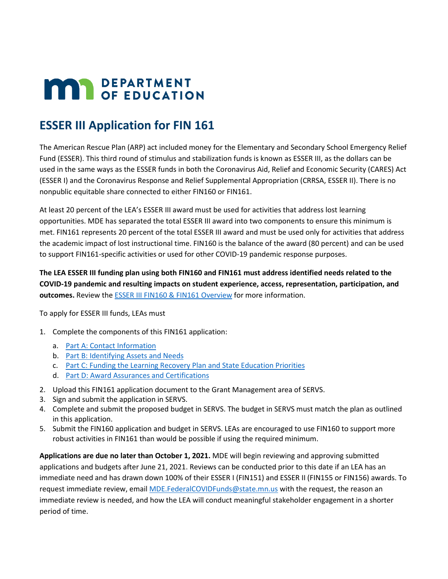# **MAY DEPARTMENT**

# **ESSER III Application for FIN 161**

The American Rescue Plan (ARP) act included money for the Elementary and Secondary School Emergency Relief Fund (ESSER). This third round of stimulus and stabilization funds is known as ESSER III, as the dollars can be used in the same ways as the ESSER funds in both the Coronavirus Aid, Relief and Economic Security (CARES) Act (ESSER I) and the Coronavirus Response and Relief Supplemental Appropriation (CRRSA, ESSER II). There is no nonpublic equitable share connected to either FIN160 or FIN161.

At least 20 percent of the LEA's ESSER III award must be used for activities that address lost learning opportunities. MDE has separated the total ESSER III award into two components to ensure this minimum is met. FIN161 represents 20 percent of the total ESSER III award and must be used only for activities that address the academic impact of lost instructional time. FIN160 is the balance of the award (80 percent) and can be used to support FIN161-specific activities or used for other COVID-19 pandemic response purposes.

**The LEA ESSER III funding plan using both FIN160 and FIN161 must address identified needs related to the COVID-19 pandemic and resulting impacts on student experience, access, representation, participation, and outcomes.** Review th[e ESSER III FIN160 & FIN161 Overview](https://education.mn.gov/mdeprod/idcplg?IdcService=GET_FILE&dDocName=prod045571&RevisionSelectionMethod=latestReleased&Rendition=primary) for more information.

To apply for ESSER III funds, LEAs must

- 1. Complete the components of this FIN161 application:
	- a. [Part A: Contact Information](#page-1-0)
	- b. [Part B: Identifying Assets and Needs](#page-2-0)
	- c. [Part C: Funding the Learning Recovery Plan and State Education Priorities](#page-4-0)
	- d. [Part D: Award Assurances and Certifications](#page-12-0)
- 2. Upload this FIN161 application document to the Grant Management area of SERVS.
- 3. Sign and submit the application in SERVS.
- 4. Complete and submit the proposed budget in SERVS. The budget in SERVS must match the plan as outlined in this application.
- 5. Submit the FIN160 application and budget in SERVS. LEAs are encouraged to use FIN160 to support more robust activities in FIN161 than would be possible if using the required minimum.

**Applications are due no later than October 1, 2021.** MDE will begin reviewing and approving submitted applications and budgets after June 21, 2021. Reviews can be conducted prior to this date if an LEA has an immediate need and has drawn down 100% of their ESSER I (FIN151) and ESSER II (FIN155 or FIN156) awards. To request immediate review, email [MDE.FederalCOVIDFunds@state.mn.us](mailto:MDE.FederalCOVIDFunds@state.mn.us) with the request, the reason an immediate review is needed, and how the LEA will conduct meaningful stakeholder engagement in a shorter period of time.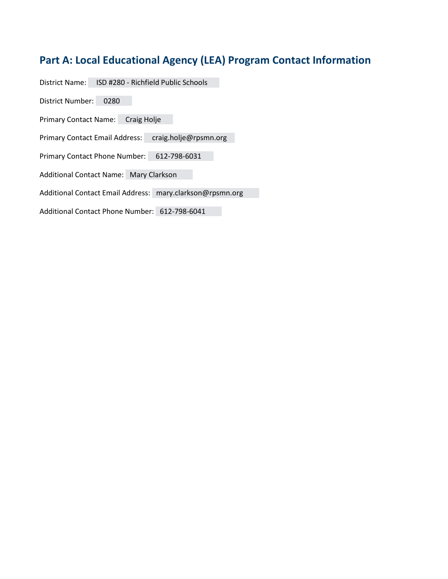# <span id="page-1-0"></span>**Part A: Local Educational Agency (LEA) Program Contact Information**

District Name: ISD #280 - Richfield Public Schools

District Number: 0280

Primary Contact Name: Craig Holje

Primary Contact Email Address: craig.holje@rpsmn.org

Primary Contact Phone Number: 612-798-6031

Additional Contact Name: Mary Clarkson

Additional Contact Email Address: mary.clarkson@rpsmn.org

Additional Contact Phone Number: 612-798-6041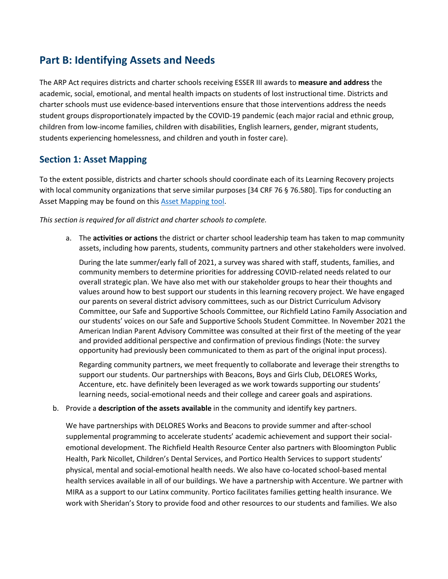# <span id="page-2-0"></span>**Part B: Identifying Assets and Needs**

The ARP Act requires districts and charter schools receiving ESSER III awards to **measure and address** the academic, social, emotional, and mental health impacts on students of lost instructional time. Districts and charter schools must use evidence-based interventions ensure that those interventions address the needs student groups disproportionately impacted by the COVID-19 pandemic (each major racial and ethnic group, children from low-income families, children with disabilities, English learners, gender, migrant students, students experiencing homelessness, and children and youth in foster care).

## **Section 1: Asset Mapping**

To the extent possible, districts and charter schools should coordinate each of its Learning Recovery projects with local community organizations that serve similar purposes [34 CRF 76 § 76.580]. Tips for conducting an Asset Mapping may be found on this [Asset Mapping tool.](https://education.mn.gov/mdeprod/idcplg?IdcService=GET_FILE&dDocName=prod045553&RevisionSelectionMethod=latestReleased&Rendition=primary)

*This section is required for all district and charter schools to complete.* 

a. The **activities or actions** the district or charter school leadership team has taken to map community assets, including how parents, students, community partners and other stakeholders were involved.

During the late summer/early fall of 2021, a survey was shared with staff, students, families, and community members to determine priorities for addressing COVID-related needs related to our overall strategic plan. We have also met with our stakeholder groups to hear their thoughts and values around how to best support our students in this learning recovery project. We have engaged our parents on several district advisory committees, such as our District Curriculum Advisory Committee, our Safe and Supportive Schools Committee, our Richfield Latino Family Association and our students' voices on our Safe and Supportive Schools Student Committee. In November 2021 the American Indian Parent Advisory Committee was consulted at their first of the meeting of the year and provided additional perspective and confirmation of previous findings (Note: the survey opportunity had previously been communicated to them as part of the original input process).

Regarding community partners, we meet frequently to collaborate and leverage their strengths to support our students. Our partnerships with Beacons, Boys and Girls Club, DELORES Works, Accenture, etc. have definitely been leveraged as we work towards supporting our students' learning needs, social-emotional needs and their college and career goals and aspirations.

b. Provide a **description of the assets available** in the community and identify key partners.

We have partnerships with DELORES Works and Beacons to provide summer and after-school supplemental programming to accelerate students' academic achievement and support their socialemotional development. The Richfield Health Resource Center also partners with Bloomington Public Health, Park Nicollet, Children's Dental Services, and Portico Health Services to support students' physical, mental and social-emotional health needs. We also have co-located school-based mental health services available in all of our buildings. We have a partnership with Accenture. We partner with MIRA as a support to our Latinx community. Portico facilitates families getting health insurance. We work with Sheridan's Story to provide food and other resources to our students and families. We also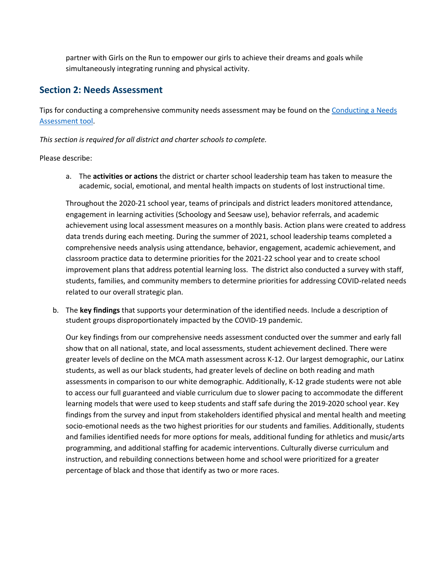partner with Girls on the Run to empower our girls to achieve their dreams and goals while simultaneously integrating running and physical activity.

## **Section 2: Needs Assessment**

Tips for conducting a comprehensive community needs assessment may be found on the Conducting a Needs [Assessment tool.](https://education.mn.gov/mdeprod/idcplg?IdcService=GET_FILE&dDocName=prod045554&RevisionSelectionMethod=latestReleased&Rendition=primary)

*This section is required for all district and charter schools to complete.* 

Please describe:

a. The **activities or actions** the district or charter school leadership team has taken to measure the academic, social, emotional, and mental health impacts on students of lost instructional time.

Throughout the 2020-21 school year, teams of principals and district leaders monitored attendance, engagement in learning activities (Schoology and Seesaw use), behavior referrals, and academic achievement using local assessment measures on a monthly basis. Action plans were created to address data trends during each meeting. During the summer of 2021, school leadership teams completed a comprehensive needs analysis using attendance, behavior, engagement, academic achievement, and classroom practice data to determine priorities for the 2021-22 school year and to create school improvement plans that address potential learning loss. The district also conducted a survey with staff, students, families, and community members to determine priorities for addressing COVID-related needs related to our overall strategic plan.

b. The **key findings** that supports your determination of the identified needs. Include a description of student groups disproportionately impacted by the COVID-19 pandemic.

Our key findings from our comprehensive needs assessment conducted over the summer and early fall show that on all national, state, and local assessments, student achievement declined. There were greater levels of decline on the MCA math assessment across K-12. Our largest demographic, our Latinx students, as well as our black students, had greater levels of decline on both reading and math assessments in comparison to our white demographic. Additionally, K-12 grade students were not able to access our full guaranteed and viable curriculum due to slower pacing to accommodate the different learning models that were used to keep students and staff safe during the 2019-2020 school year. Key findings from the survey and input from stakeholders identified physical and mental health and meeting socio-emotional needs as the two highest priorities for our students and families. Additionally, students and families identified needs for more options for meals, additional funding for athletics and music/arts programming, and additional staffing for academic interventions. Culturally diverse curriculum and instruction, and rebuilding connections between home and school were prioritized for a greater percentage of black and those that identify as two or more races.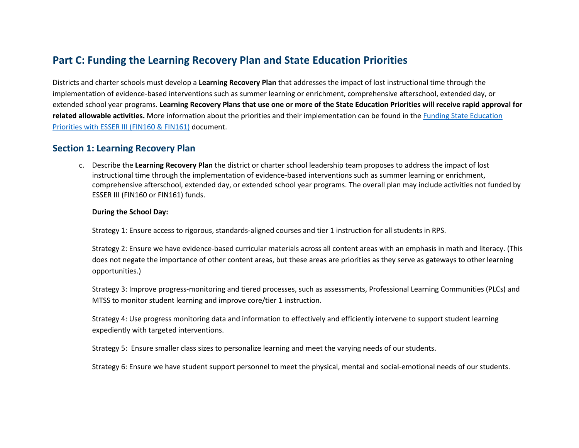# **Part C: Funding the Learning Recovery Plan and State Education Priorities**

Districts and charter schools must develop a **Learning Recovery Plan** that addresses the impact of lost instructional time through the implementation of evidence-based interventions such as summer learning or enrichment, comprehensive afterschool, extended day, or extended school year programs. **Learning Recovery Plans that use one or more of the State Education Priorities will receive rapid approval for related allowable activities.** More information about the priorities and their implementation can be found in the [Funding State Education](https://education.mn.gov/mdeprod/idcplg?IdcService=GET_FILE&dDocName=prod035538&RevisionSelectionMethod=latestReleased&Rendition=primary)  [Priorities with ESSER III \(FIN160 & FIN161\)](https://education.mn.gov/mdeprod/idcplg?IdcService=GET_FILE&dDocName=prod035538&RevisionSelectionMethod=latestReleased&Rendition=primary) document.

## <span id="page-4-0"></span>**Section 1: Learning Recovery Plan**

c. Describe the **Learning Recovery Plan** the district or charter school leadership team proposes to address the impact of lost instructional time through the implementation of evidence-based interventions such as summer learning or enrichment, comprehensive afterschool, extended day, or extended school year programs. The overall plan may include activities not funded by ESSER III (FIN160 or FIN161) funds.

#### **During the School Day:**

Strategy 1: Ensure access to rigorous, standards-aligned courses and tier 1 instruction for all students in RPS.

Strategy 2: Ensure we have evidence-based curricular materials across all content areas with an emphasis in math and literacy. (This does not negate the importance of other content areas, but these areas are priorities as they serve as gateways to other learning opportunities.)

Strategy 3: Improve progress-monitoring and tiered processes, such as assessments, Professional Learning Communities (PLCs) and MTSS to monitor student learning and improve core/tier 1 instruction.

Strategy 4: Use progress monitoring data and information to effectively and efficiently intervene to support student learning expediently with targeted interventions.

Strategy 5: Ensure smaller class sizes to personalize learning and meet the varying needs of our students.

Strategy 6: Ensure we have student support personnel to meet the physical, mental and social-emotional needs of our students.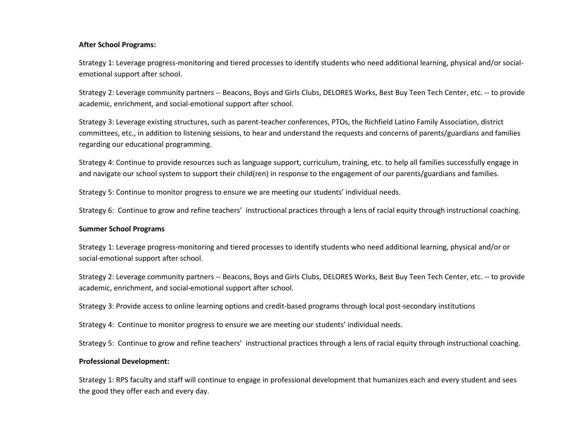#### **After School Programs:**

Strategy 1: Leverage progress-monitoring and tiered processes to identify students who need additional learning, physical and/or socialemotional support after school.

Strategy 2: Leverage community partners -- Beacons, Boys and Girls Clubs, DELORES Works, Best Buy Teen Tech Center, etc. -- to provide academic, enrichment, and social-emotional support after school.

Strategy 3: Leverage existing structures, such as parent-teacher conferences, PTOs, the Richfield Latino Family Association, district committees, etc., in addition to listening sessions, to hear and understand the requests and concerns of parents/guardians and families regarding our educational programming.

Strategy 4: Continue to provide resources such as language support, curriculum, training, etc. to help all families successfully engage in and navigate our school system to support their child(ren) in response to the engagement of our parents/guardians and families.

Strategy 5: Continue to monitor progress to ensure we are meeting our students' individual needs.

Strategy 6: Continue to grow and refine teachers' instructional practices through a lens of racial equity through instructional coaching.

#### **Summer School Programs**

Strategy 1: Leverage progress-monitoring and tiered processes to identify students who need additional learning, physical and/or or social-emotional support after school.

Strategy 2: Leverage community partners -- Beacons, Boys and Girls Clubs, DELORES Works, Best Buy Teen Tech Center, etc. -- to provide academic, enrichment, and social-emotional support after school.

Strategy 3: Provide access to online learning options and credit-based programs through local post-secondary institutions

Strategy 4: Continue to monitor progress to ensure we are meeting our students' individual needs.

Strategy 5: Continue to grow and refine teachers' instructional practices through a lens of racial equity through instructional coaching.

#### **Professional Development:**

Strategy 1: RPS faculty and staff will continue to engage in professional development that humanizes each and every student and sees the good they offer each and every day.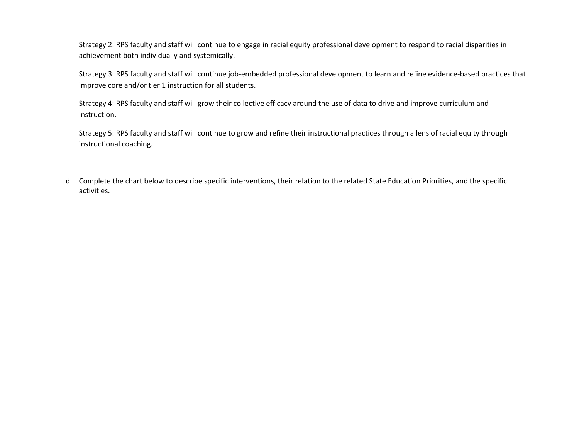Strategy 2: RPS faculty and staff will continue to engage in racial equity professional development to respond to racial disparities in achievement both individually and systemically.

Strategy 3: RPS faculty and staff will continue job-embedded professional development to learn and refine evidence-based practices that improve core and/or tier 1 instruction for all students.

Strategy 4: RPS faculty and staff will grow their collective efficacy around the use of data to drive and improve curriculum and instruction.

Strategy 5: RPS faculty and staff will continue to grow and refine their instructional practices through a lens of racial equity through instructional coaching.

d. Complete the chart below to describe specific interventions, their relation to the related State Education Priorities, and the specific activities.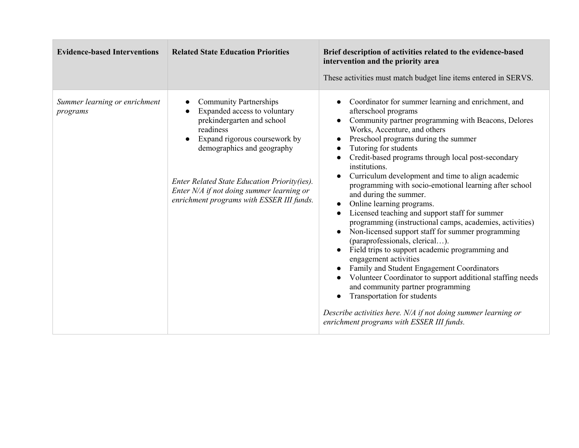| <b>Evidence-based Interventions</b>       | <b>Related State Education Priorities</b>                                                                                                                                                                                                                                                                                      | Brief description of activities related to the evidence-based<br>intervention and the priority area<br>These activities must match budget line items entered in SERVS.                                                                                                                                                                                                                                                                                                                                                                                                                                                                                                                                                                                                                                                                                                                                                                                                                                                                                                                                 |
|-------------------------------------------|--------------------------------------------------------------------------------------------------------------------------------------------------------------------------------------------------------------------------------------------------------------------------------------------------------------------------------|--------------------------------------------------------------------------------------------------------------------------------------------------------------------------------------------------------------------------------------------------------------------------------------------------------------------------------------------------------------------------------------------------------------------------------------------------------------------------------------------------------------------------------------------------------------------------------------------------------------------------------------------------------------------------------------------------------------------------------------------------------------------------------------------------------------------------------------------------------------------------------------------------------------------------------------------------------------------------------------------------------------------------------------------------------------------------------------------------------|
| Summer learning or enrichment<br>programs | <b>Community Partnerships</b><br>Expanded access to voluntary<br>prekindergarten and school<br>readiness<br>Expand rigorous coursework by<br>$\bullet$<br>demographics and geography<br>Enter Related State Education Priority(ies).<br>Enter N/A if not doing summer learning or<br>enrichment programs with ESSER III funds. | Coordinator for summer learning and enrichment, and<br>$\bullet$<br>afterschool programs<br>Community partner programming with Beacons, Delores<br>$\bullet$<br>Works, Accenture, and others<br>Preschool programs during the summer<br>Tutoring for students<br>$\bullet$<br>Credit-based programs through local post-secondary<br>institutions.<br>Curriculum development and time to align academic<br>programming with socio-emotional learning after school<br>and during the summer.<br>Online learning programs.<br>Licensed teaching and support staff for summer<br>programming (instructional camps, academies, activities)<br>Non-licensed support staff for summer programming<br>(paraprofessionals, clerical).<br>Field trips to support academic programming and<br>engagement activities<br>Family and Student Engagement Coordinators<br>Volunteer Coordinator to support additional staffing needs<br>and community partner programming<br>Transportation for students<br>Describe activities here. N/A if not doing summer learning or<br>enrichment programs with ESSER III funds. |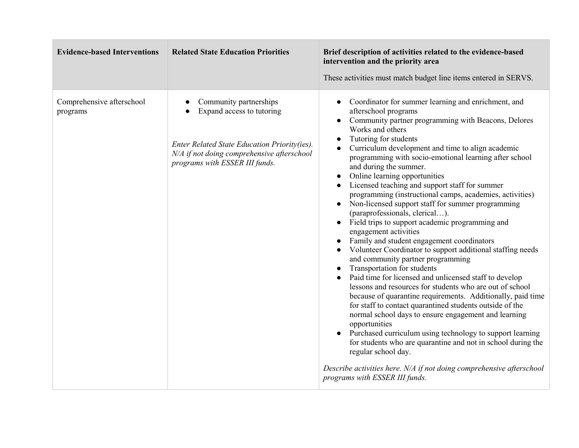| <b>Evidence-based Interventions</b>   | <b>Related State Education Priorities</b>                                                                                                                                           | Brief description of activities related to the evidence-based<br>intervention and the priority area<br>These activities must match budget line items entered in SERVS.                                                                                                                                                                                                                                                                                                                                                                                                                                                                                                                                                                                                                                                                                                                                                                                                                                                                                                                                                                                                                                                                                                                                                                                                                                             |
|---------------------------------------|-------------------------------------------------------------------------------------------------------------------------------------------------------------------------------------|--------------------------------------------------------------------------------------------------------------------------------------------------------------------------------------------------------------------------------------------------------------------------------------------------------------------------------------------------------------------------------------------------------------------------------------------------------------------------------------------------------------------------------------------------------------------------------------------------------------------------------------------------------------------------------------------------------------------------------------------------------------------------------------------------------------------------------------------------------------------------------------------------------------------------------------------------------------------------------------------------------------------------------------------------------------------------------------------------------------------------------------------------------------------------------------------------------------------------------------------------------------------------------------------------------------------------------------------------------------------------------------------------------------------|
| Comprehensive afterschool<br>programs | Community partnerships<br>Expand access to tutoring<br>Enter Related State Education Priority(ies).<br>N/A if not doing comprehensive afterschool<br>programs with ESSER III funds. | Coordinator for summer learning and enrichment, and<br>afterschool programs<br>Community partner programming with Beacons, Delores<br>Works and others<br>Tutoring for students<br>Curriculum development and time to align academic<br>programming with socio-emotional learning after school<br>and during the summer.<br>Online learning opportunities<br>Licensed teaching and support staff for summer<br>programming (instructional camps, academies, activities)<br>Non-licensed support staff for summer programming<br>(paraprofessionals, clerical).<br>Field trips to support academic programming and<br>engagement activities<br>Family and student engagement coordinators<br>Volunteer Coordinator to support additional staffing needs<br>and community partner programming<br>Transportation for students<br>Paid time for licensed and unlicensed staff to develop<br>lessons and resources for students who are out of school<br>because of quarantine requirements. Additionally, paid time<br>for staff to contact quarantined students outside of the<br>normal school days to ensure engagement and learning<br>opportunities<br>Purchased curriculum using technology to support learning<br>for students who are quarantine and not in school during the<br>regular school day.<br>Describe activities here. N/A if not doing comprehensive afterschool<br>programs with ESSER III funds. |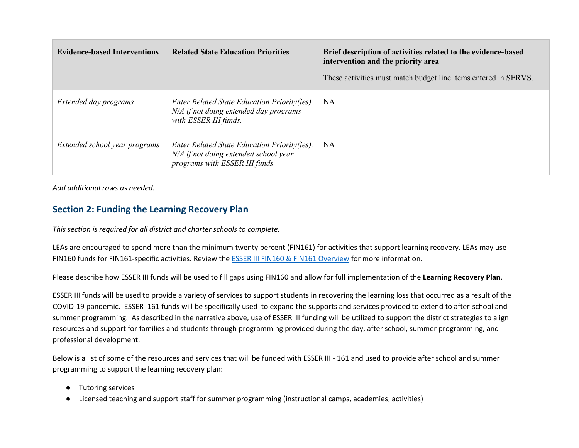| <b>Evidence-based Interventions</b> | <b>Related State Education Priorities</b>                                                                               | Brief description of activities related to the evidence-based<br>intervention and the priority area<br>These activities must match budget line items entered in SERVS. |
|-------------------------------------|-------------------------------------------------------------------------------------------------------------------------|------------------------------------------------------------------------------------------------------------------------------------------------------------------------|
| Extended day programs               | Enter Related State Education Priority(ies).<br>N/A if not doing extended day programs<br>with ESSER III funds.         | NA.                                                                                                                                                                    |
| Extended school year programs       | Enter Related State Education Priority(ies).<br>N/A if not doing extended school year<br>programs with ESSER III funds. | NA                                                                                                                                                                     |

*Add additional rows as needed.* 

## **Section 2: Funding the Learning Recovery Plan**

*This section is required for all district and charter schools to complete.* 

LEAs are encouraged to spend more than the minimum twenty percent (FIN161) for activities that support learning recovery. LEAs may use FIN160 funds for FIN161-specific activities. Review the [ESSER III FIN160 & FIN161 Overview](https://education.mn.gov/mdeprod/idcplg?IdcService=GET_FILE&dDocName=prod045571&RevisionSelectionMethod=latestReleased&Rendition=primary) for more information.

Please describe how ESSER III funds will be used to fill gaps using FIN160 and allow for full implementation of the **Learning Recovery Plan**.

ESSER III funds will be used to provide a variety of services to support students in recovering the learning loss that occurred as a result of the COVID-19 pandemic. ESSER 161 funds will be specifically used to expand the supports and services provided to extend to after-school and summer programming. As described in the narrative above, use of ESSER III funding will be utilized to support the district strategies to align resources and support for families and students through programming provided during the day, after school, summer programming, and professional development.

Below is a list of some of the resources and services that will be funded with ESSER III - 161 and used to provide after school and summer programming to support the learning recovery plan:

- Tutoring services
- Licensed teaching and support staff for summer programming (instructional camps, academies, activities)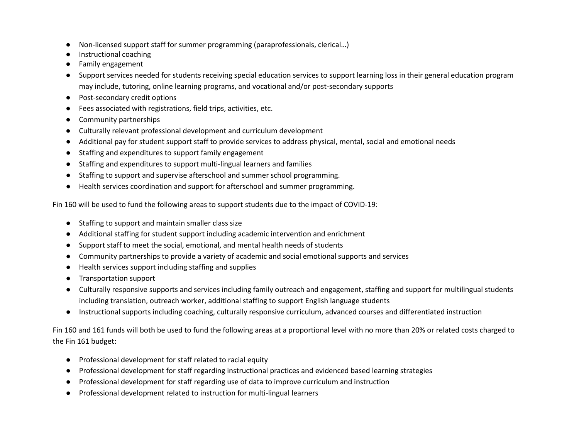- Non-licensed support staff for summer programming (paraprofessionals, clerical…)
- Instructional coaching
- Family engagement
- Support services needed for students receiving special education services to support learning loss in their general education program may include, tutoring, online learning programs, and vocational and/or post-secondary supports
- Post-secondary credit options
- Fees associated with registrations, field trips, activities, etc.
- Community partnerships
- Culturally relevant professional development and curriculum development
- Additional pay for student support staff to provide services to address physical, mental, social and emotional needs
- Staffing and expenditures to support family engagement
- Staffing and expenditures to support multi-lingual learners and families
- Staffing to support and supervise afterschool and summer school programming.
- Health services coordination and support for afterschool and summer programming.

Fin 160 will be used to fund the following areas to support students due to the impact of COVID-19:

- Staffing to support and maintain smaller class size
- Additional staffing for student support including academic intervention and enrichment
- Support staff to meet the social, emotional, and mental health needs of students
- Community partnerships to provide a variety of academic and social emotional supports and services
- Health services support including staffing and supplies
- Transportation support
- Culturally responsive supports and services including family outreach and engagement, staffing and support for multilingual students including translation, outreach worker, additional staffing to support English language students
- Instructional supports including coaching, culturally responsive curriculum, advanced courses and differentiated instruction

Fin 160 and 161 funds will both be used to fund the following areas at a proportional level with no more than 20% or related costs charged to the Fin 161 budget:

- Professional development for staff related to racial equity
- Professional development for staff regarding instructional practices and evidenced based learning strategies
- Professional development for staff regarding use of data to improve curriculum and instruction
- Professional development related to instruction for multi-lingual learners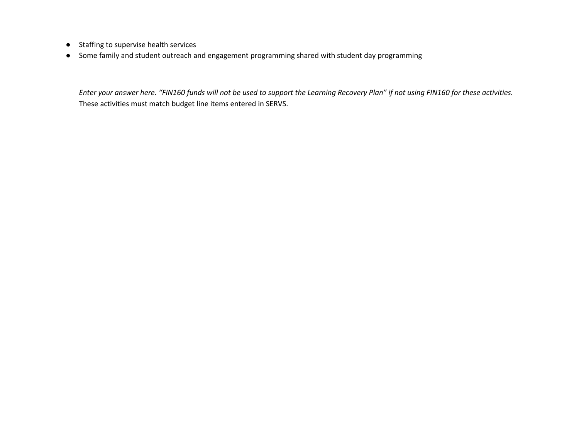- Staffing to supervise health services
- Some family and student outreach and engagement programming shared with student day programming

*Enter your answer here. "FIN160 funds will not be used to support the Learning Recovery Plan" if not using FIN160 for these activities.*  These activities must match budget line items entered in SERVS.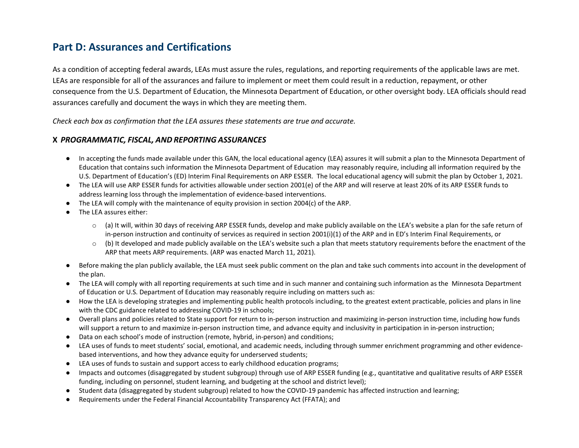# **Part D: Assurances and Certifications**

As a condition of accepting federal awards, LEAs must assure the rules, regulations, and reporting requirements of the applicable laws are met. LEAs are responsible for all of the assurances and failure to implement or meet them could result in a reduction, repayment, or other consequence from the U.S. Department of Education, the Minnesota Department of Education, or other oversight body. LEA officials should read assurances carefully and document the ways in which they are meeting them.

*Check each box as confirmation that the LEA assures these statements are true and accurate.*

#### **X** *PROGRAMMATIC, FISCAL, AND REPORTING ASSURANCES*

- In accepting the funds made available under this GAN, the local educational agency (LEA) assures it will submit a plan to the Minnesota Department of Education that contains such information the Minnesota Department of Education may reasonably require, including all information required by the U.S. Department of Education's (ED) Interim Final Requirements on ARP ESSER. The local educational agency will submit the plan by October 1, 2021.
- <span id="page-12-0"></span>● The LEA will use ARP ESSER funds for activities allowable under section 2001(e) of the ARP and will reserve at least 20% of its ARP ESSER funds to address learning loss through the implementation of evidence-based interventions.
- The LEA will comply with the maintenance of equity provision in section 2004(c) of the ARP.
- The LEA assures either:
	- $\circ$  (a) It will, within 30 days of receiving ARP ESSER funds, develop and make publicly available on the LEA's website a plan for the safe return of in-person instruction and continuity of services as required in section 2001(i)(1) of the ARP and in ED's Interim Final Requirements, or
	- $\circ$  (b) It developed and made publicly available on the LEA's website such a plan that meets statutory requirements before the enactment of the ARP that meets ARP requirements. (ARP was enacted March 11, 2021).
- Before making the plan publicly available, the LEA must seek public comment on the plan and take such comments into account in the development of the plan.
- The LEA will comply with all reporting requirements at such time and in such manner and containing such information as the Minnesota Department of Education or U.S. Department of Education may reasonably require including on matters such as:
- How the LEA is developing strategies and implementing public health protocols including, to the greatest extent practicable, policies and plans in line with the CDC guidance related to addressing COVID-19 in schools;
- Overall plans and policies related to State support for return to in-person instruction and maximizing in-person instruction time, including how funds will support a return to and maximize in-person instruction time, and advance equity and inclusivity in participation in in-person instruction;
- Data on each school's mode of instruction (remote, hybrid, in-person) and conditions;
- LEA uses of funds to meet students' social, emotional, and academic needs, including through summer enrichment programming and other evidencebased interventions, and how they advance equity for underserved students;
- LEA uses of funds to sustain and support access to early childhood education programs;
- Impacts and outcomes (disaggregated by student subgroup) through use of ARP ESSER funding (e.g., quantitative and qualitative results of ARP ESSER funding, including on personnel, student learning, and budgeting at the school and district level);
- Student data (disaggregated by student subgroup) related to how the COVID-19 pandemic has affected instruction and learning;
- Requirements under the Federal Financial Accountability Transparency Act (FFATA); and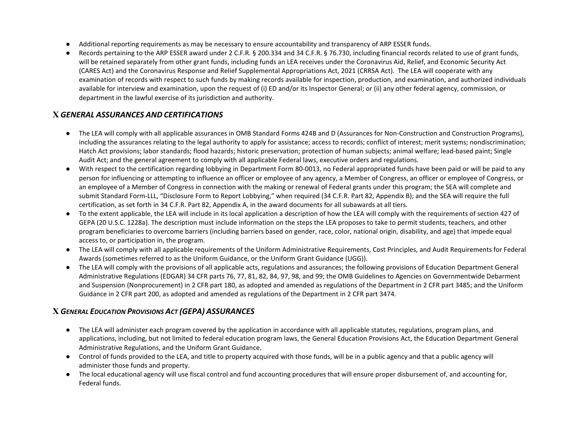- Additional reporting requirements as may be necessary to ensure accountability and transparency of ARP ESSER funds.
- Records pertaining to the ARP ESSER award under 2 C.F.R. § 200.334 and 34 C.F.R. § 76.730, including financial records related to use of grant funds, will be retained separately from other grant funds, including funds an LEA receives under the Coronavirus Aid, Relief, and Economic Security Act (CARES Act) and the Coronavirus Response and Relief Supplemental Appropriations Act, 2021 (CRRSA Act). The LEA will cooperate with any examination of records with respect to such funds by making records available for inspection, production, and examination, and authorized individuals available for interview and examination, upon the request of (i) ED and/or its Inspector General; or (ii) any other federal agency, commission, or department in the lawful exercise of its jurisdiction and authority.

## **X** *GENERAL ASSURANCES AND CERTIFICATIONS*

- The LEA will comply with all applicable assurances in OMB Standard Forms 424B and D (Assurances for Non-Construction and Construction Programs), including the assurances relating to the legal authority to apply for assistance; access to records; conflict of interest; merit systems; nondiscrimination; Hatch Act provisions; labor standards; flood hazards; historic preservation; protection of human subjects; animal welfare; lead-based paint; Single Audit Act; and the general agreement to comply with all applicable Federal laws, executive orders and regulations.
- With respect to the certification regarding lobbying in Department Form 80-0013, no Federal appropriated funds have been paid or will be paid to any person for influencing or attempting to influence an officer or employee of any agency, a Member of Congress, an officer or employee of Congress, or an employee of a Member of Congress in connection with the making or renewal of Federal grants under this program; the SEA will complete and submit Standard Form-LLL, "Disclosure Form to Report Lobbying," when required (34 C.F.R. Part 82, Appendix B); and the SEA will require the full certification, as set forth in 34 C.F.R. Part 82, Appendix A, in the award documents for all subawards at all tiers.
- To the extent applicable, the LEA will include in its local application a description of how the LEA will comply with the requirements of section 427 of GEPA (20 U.S.C. 1228a). The description must include information on the steps the LEA proposes to take to permit students, teachers, and other program beneficiaries to overcome barriers (including barriers based on gender, race, color, national origin, disability, and age) that impede equal access to, or participation in, the program.
- The LEA will comply with all applicable requirements of the Uniform Administrative Requirements, Cost Principles, and Audit Requirements for Federal Awards (sometimes referred to as the Uniform Guidance, or the Uniform Grant Guidance (UGG)).
- The LEA will comply with the provisions of all applicable acts, regulations and assurances; the following provisions of Education Department General Administrative Regulations (EDGAR) 34 CFR parts 76, 77, 81, 82, 84, 97, 98, and 99; the OMB Guidelines to Agencies on Governmentwide Debarment and Suspension (Nonprocurement) in 2 CFR part 180, as adopted and amended as regulations of the Department in 2 CFR part 3485; and the Uniform Guidance in 2 CFR part 200, as adopted and amended as regulations of the Department in 2 CFR part 3474.

## **X** *GENERAL EDUCATION PROVISIONS ACT (GEPA) ASSURANCES*

- The LEA will administer each program covered by the application in accordance with all applicable statutes, regulations, program plans, and applications, including, but not limited to federal education program laws, the General Education Provisions Act, the Education Department General Administrative Regulations, and the Uniform Grant Guidance.
- Control of funds provided to the LEA, and title to property acquired with those funds, will be in a public agency and that a public agency will administer those funds and property.
- The local educational agency will use fiscal control and fund accounting procedures that will ensure proper disbursement of, and accounting for, Federal funds.